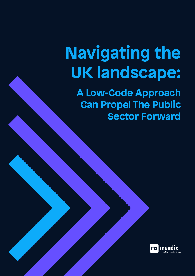# **Navigating the UK landscape:**

**A Low-Code Approach Can Propel The Public Sector Forward**

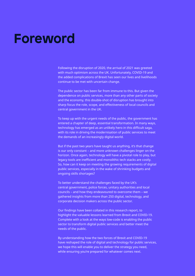#### **Foreword**

Following the disruption of 2020, the arrival of 2021 was greeted with much optimism across the UK. Unfortunately, COVID-19 and the added complications of Brexit has seen our lives and livelihoods continue to be met with uncertain change.

The public sector has been far from immune to this. But given the dependence on public services, more than any other parts of society and the economy, this double-shot of disruption has brought into sharp focus the role, scope, and effectiveness of local councils and central government in the UK.

To keep up with the urgent needs of the public, the government has entered a chapter of deep, essential transformation. In many ways, technology has emerged as an unlikely hero in this difficult saga, with its role in driving the modernisation of public services to meet the demands of an increasingly digital world.

But if the past two years have taught us anything, it's that change is our only constant – and more unknown challenges linger on the horizon. Once again, technology will have a pivotal role to play, but legacy tools are inefficient and monolithic tech stacks are costly. So, how can it keep on meeting the growing requirements of digital public services, especially in the wake of shrinking budgets and ongoing skills shortages?

To better understand the challenges faced by the UK's central government, police forces, unitary authorities and local councils – and how they endeavoured to overcome them – we gathered insights from more than 250 digital, technology, and corporate decision makers across the public sector.

Our findings have been collated in this research report, to highlight the valuable lessons learned from Brexit and COVID-19. Complete with a look at the ways low-code is enabling the public sector to transform digital public services and better meet the needs of the public.

By understanding how the two forces of Brexit and COVID-19 have reshaped the role of digital and technology for public services, we hope this will enable you to deliver the strategy you need, while ensuring you're prepared for whatever comes next.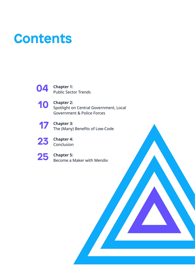#### **Contents**



**10** Chapter 2:<br>Spotlight of Spotlight on Central Government, Local Government & Police Forces



**Chapter 3:** The (Many) Benefits of Low-Code



**Chapter 4:**  Conclusion



**Chapter 5:**  Become a Maker with Mendix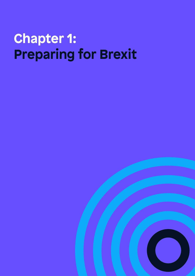# **Chapter 1: Preparing for Brexit**

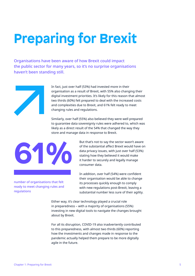# **Preparing for Brexit**

Organisations have been aware of how Brexit could impact the public sector for many years, so it's no surprise organisations haven't been standing still.



In fact, just over half (53%) had invested more in their organisation as a result of Brexit, with 55% also changing their digital investment priorities. It's likely for this reason that almost two thirds (60%) felt prepared to deal with the increased costs and complexities due to Brexit, and 61% felt ready to meet changing rules and regulations.

Similarly, over half (55%) also believed they were well prepared to guarantee data sovereignty rules were adhered to, which was likely as a direct result of the 54% that changed the way they store and manage data in response to Brexit.



number of organisations that felt ready to meet changing rules and regulations

But that's not to say the sector wasn't aware of the substantial affect Brexit would have on data privacy issues, with just over half (53%) stating how they believed it would make it harder to securely and legally manage consumer data.

In addition, over half (54%) were confident their organisation would be able to change its processes quickly enough to comply with new regulations post-Brexit, leaving a substantial number less sure of their agility.

Either way, it's clear technology played a crucial role in preparedness – with a majority of organisations (55%) investing in new digital tools to navigate the changes brought about by Brexit.

For all its disruption, COVID-19 also inadvertently contributed to this preparedness, with almost two thirds (60%) reporting how the investments and changes made in response to the pandemic actually helped them prepare to be more digitally agile in the future.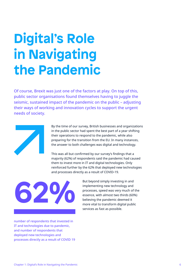# **Digital's Role in Navigating the Pandemic**

Of course, Brexit was just one of the factors at play. On top of this, public sector organisations found themselves having to juggle the seismic, sustained impact of the pandemic on the public – adjusting their ways of working and innovation cycles to support the urgent needs of society.



By the time of our survey, British businesses and organizations in the public sector had spent the best part of a year shifting their operations to respond to the pandemic, while also preparing for the transition from the EU. In many instances, the answer to both challenges was digital and technology.

This was all but confirmed by our survey's findings that a majority (62%) of respondents said the pandemic had caused them to invest more in IT and digital technologies. Only reinforced further by the 62% that deployed new technologies and processes directly as a result of COVID-19.



But beyond simply investing in and implementing new technology and processes, speed was very much of the essence, with almost two thirds (60%) believing the pandemic deemed it more vital to transform digital public services as fast as possible.

number of respondents that invested in IT and technologies due to pandemic, and number of respondents that deployed new technologies and processes directly as a result of COVID 19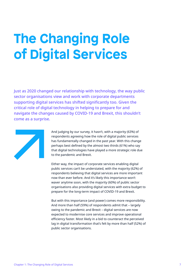# **The Changing Role of Digital Services**

Just as 2020 changed our relationship with technology, the way public sector organisations view and work with corporate departments supporting digital services has shifted significantly too. Given the critical role of digital technology in helping to prepare for and navigate the changes caused by COVID-19 and Brexit, this shouldn't come as a surprise.



And judging by our survey, it hasn't, with a majority (63%) of respondents agreeing how the role of digital public services has fundamentally changed in the past year. With this change perhaps best defined by the almost two thirds (61%) who say that digital technologies have played a more strategic role due to the pandemic and Brexit.

Either way, the impact of corporate services enabling digital public services can't be understated, with the majority (62%) of respondents believing that digital services are more important now than ever before. And it's likely this importance won't waver anytime soon, with the majority (60%) of public sector organisations also providing digital services with extra budget to prepare for the long-term impact of COVID-19 and Brexit.

But with this importance (and power) comes more responsibility. And more than half (59%) of respondents admit that – largely owing to the pandemic and Brexit – digital services are now expected to modernise core services and improve operational efficiency faster. Most likely in a bid to counteract the perceived lag in digital transformation that's felt by more than half (52%) of public sector organisations.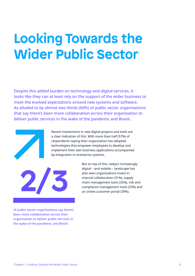#### **Looking Towards the Wider Public Sector**

Despite this added burden on technology and digital services, it looks like they can at least rely on the support of the wider business to meet the evolved expectations around new systems and software. As alluded to by almost two thirds (60%) of public sector organisations that say there's been more collaboration across their organisation to deliver public services in the wake of the pandemic and Brexit.



Recent investments in new digital projects and tools are a clear indication of this. With more than half (57%) of respondents saying their organisation has adopted technologies that empower employees to develop and implement their own business applications accompanied by integration to enterprise systems.



also seen organisations invest in internal collaboration (31%), supply chain management tools (32%), risk and compliance management tools (33%) and an online customer portal (39%).

But on top of this, today's increasingly digital – and volatile – landscape has

of public sector organisations say there's been more collaboration across their organisation to deliver public services in the wake of the pandemic and Brexit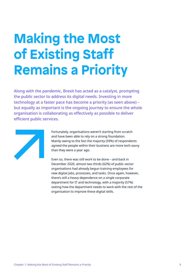# **Making the Most of Existing Staff Remains a Priority**

Along with the pandemic, Brexit has acted as a catalyst, prompting the public sector to address its digital needs. Investing in more technology at a faster pace has become a priority (as seen above) – but equally as important is the ongoing journey to ensure the whole organisation is collaborating as effectively as possible to deliver efficient public services.



Fortunately, organisations weren't starting from scratch and have been able to rely on a strong foundation. Mainly owing to the fact the majority (59%) of respondents agreed the people within their business are more tech-savvy than they were a year ago.

Even so, there was still work to be done – and back in December 2020, almost two thirds (62%) of public sector organisations had already begun training employees for new digital jobs, processes, and tasks. Once again, however, there's still a heavy dependence on a single corporate department for IT and technology, with a majority (57%) stating how the department needs to work with the rest of the organisation to improve these digital skills.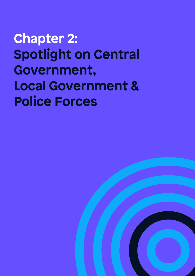**Chapter 2: Spotlight on Central Government, Local Government & Police Forces**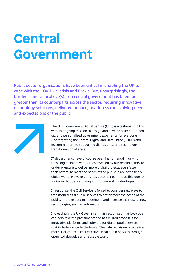#### **Central Government**

Public sector organisations have been critical in enabling the UK to cope with the COVID-19 crisis and Brexit. But, unsurprisingly, the burden – and critical eye(s) – on central government has been far greater than its counterparts across the sector, requiring innovative technology solutions, delivered at pace, to address the evolving needs and expectations of the public.



The UK's Government Digital Service (GDS) is a testament to this, with its ongoing mission to design and develop a simple, joinedup, and personalised government experience for everyone. Not forgetting the Central Digital and Data Office (CDDO) and its commitment to supporting digital, data, and technology transformation at scale.

IT departments have of course been instrumental in driving these digital initiatives. But, as revealed by our research, they're under pressure to deliver more digital projects, even faster than before, to meet the needs of the public in an increasingly digital world. However, this has become near impossible due to shrinking budgets and ongoing software skills shortages.

In response, the Civil Service is forced to consider new ways to transform digital public services to better meet the needs of the public, improve data management, and increase their use of new technologies, such as automation.

Increasingly, the UK Government has recognised that low-code can help take the pressure off and has invited proposals for innovative platforms and software for digital public services that include low-code platforms. Their shared vision is to deliver more user-centred, cost effective, local public services through open, collaborative and reusable work.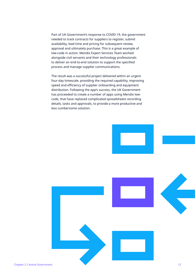Part of UK Government's response to COVID-19, the government needed to track contracts for suppliers to register, submit availability, lead time and pricing for subsequent review, approval and ultimately purchase. This is a great example of low-code in action. Mendix Expert Services Team worked alongside civil servants and their technology professionals to deliver an end-to-end solution to support the specified process and manage supplier communications.

The result was a successful project delivered within an urgent four-day timescale, providing the required capability, improving speed and efficiency of supplier onboarding and equipment distribution. Following the app's success, the UK Government has proceeded to create a number of apps using Mendix lowcode, that have replaced complicated spreadsheets recording details, tasks and approvals, to provide a more productive and less cumbersome solution.

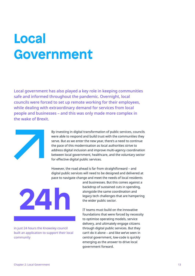#### **Local Government**

Local government has also played a key role in keeping communities safe and informed throughout the pandemic. Overnight, local councils were forced to set up remote working for their employees, while dealing with extraordinary demand for services from local people and businesses – and this was only made more complex in the wake of Brexit.



By investing in digital transformation of public services, councils were able to respond and build trust with the communities they serve. But as we enter the new year, there's a need to continue the pace of this modernisation as local authorities strive to address digital inclusion and improve multi-agency coordination between local government, healthcare, and the voluntary sector for effective digital public services.

However, the road ahead is far from straightforward – and digital public services will need to be designed and delivered at pace to navigate change and meet the needs of local residents



in just 24 hours the Knowsley council built an application to support their local community

and businesses. But this comes against a backdrop of sustained cuts in spending, alongside the same coordination and legacy tech challenges that are hampering the wider public sector.

IT teams must build on the innovative foundations that were forced by necessity to optimise operating models, service delivery, and ultimately engage citizens through digital public services. But they can't do it alone – and like we've seen in central government, low-code is quickly emerging as the answer to drive local government forward.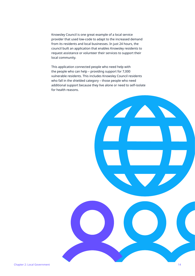Knowsley Council is one great example of a local service provider that used low-code to adapt to the increased demand from its residents and local businesses. In just 24 hours, the council built an application that enables Knowsley residents to request assistance or volunteer their services to support their local community.

This application connected people who need help with the people who can help – providing support for 7,000 vulnerable residents. This includes Knowsley Council residents who fall in the shielded category – those people who need additional support because they live alone or need to self-isolate for health reasons.

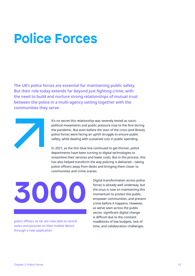#### **Police Forces**

The UK's police forces are essential for maintaining public safety. But their role today extends far beyond just fighting crime, with the need to build and nurture strong relationships of mutual trust between the police in a multi-agency setting together with the communities they serve.



It's no secret this relationship was severely tested as sociopolitical movements and public pressure rose to the fore during the pandemic. But even before the start of the crisis (and Brexit), police forces were facing an uphill struggle to ensure public safety, while dealing with sustained cuts in public spending.

In 2021, as the thin blue line continued to get thinner, police departments have been turning to digital technologies to streamline their services and lower costs. But in the process, this has also helped transform the way policing is delivered – taking police officers away from desks and bringing them closer to communities and crime scenes.

**3000**

police officers so far are now able to record notes and pictures on their mobile device through a new application

Digital transformation across police forces is already well underway, but the onus is now on maintaining this momentum to protect the public, empower communities, and prevent crime before it happens. However, as we've seen across the public sector, significant digital change is difficult due to the constant roadblocks of low budgets, lack of time, and collaboration challenges.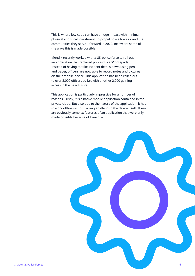This is where low-code can have a huge impact with minimal physical and fiscal investment, to propel police forces – and the communities they serve – forward in 2022. Below are some of the ways this is made possible.

Mendix recently worked with a UK police force to roll out an application that replaced police officers' notepads. Instead of having to take incident details down using pen and paper, officers are now able to record notes and pictures on their mobile device. This application has been rolled out to over 3,000 officers so far, with another 2,000 gaining access in the near future.

This application is particularly impressive for a number of reasons. Firstly, it is a native mobile application contained in the private cloud. But also due to the nature of the application, it has to work offline without saving anything to the device itself. These are obviously complex features of an application that were only made possible because of low-code.

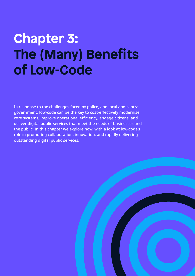# **Chapter 3: The (Many) Benefits of Low-Code**

In response to the challenges faced by police, and local and central government, low-code can be the key to cost-effectively modernise core systems, improve operational efficiency, engage citizens, and deliver digital public services that meet the needs of businesses and the public. In this chapter we explore how, with a look at low-code's role in promoting collaboration, innovation, and rapidly delivering outstanding digital public services.

![](_page_16_Picture_2.jpeg)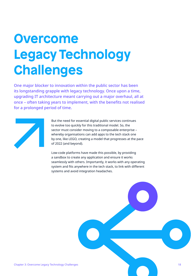### **Overcome Legacy Technology Challenges**

One major blocker to innovation within the public sector has been its longstanding grapple with legacy technology. Once upon a time, upgrading IT architecture meant carrying out a major overhaul, all at once – often taking years to implement, with the benefits not realised for a prolonged period of time.

![](_page_17_Picture_2.jpeg)

But the need for essential digital public services continues to evolve too quickly for this traditional model. So, the sector must consider moving to a composable enterprise – whereby organisations can add apps to the tech stack one by one, like LEGO, creating a model that progresses at the pace of 2022 (and beyond).

Low-code platforms have made this possible, by providing a sandbox to create any application and ensure it works seamlessly with others. Importantly, it works with any operating system and fits anywhere in the tech stack, to link with different systems and avoid integration headaches.

Chapter 3: Overcome Legacy Technology Challenges 18 and 200 minutes of the chapter 3: Overcome Legacy Technology Challenges 18 and 200 minutes of the chance of the chapter of the chapter of the chapter of the chapter of th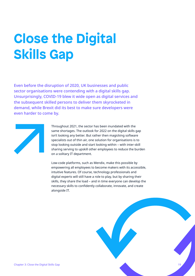# **Close the Digital Skills Gap**

Even before the disruption of 2020, UK businesses and public sector organisations were contending with a digital skills gap. Unsurprisingly, COVID-19 blew it wide open as digital services and the subsequent skilled persons to deliver them skyrocketed in demand, while Brexit did its best to make sure developers were even harder to come by.

![](_page_18_Picture_2.jpeg)

Throughout 2021, the sector has been inundated with the same shortages. The outlook for 2022 on the digital skills gap isn't looking any better. But rather then magicking software specialists out of thin air, one solution for organisations is to stop looking outside and start looking within – with inter-skill sharing serving to upskill other employees to reduce the burden on a solitary IT department.

Low-code platforms, such as Mendix, make this possible by empowering all employees to become makers with its accessible, intuitive features. Of course, technology professionals and digital experts will still have a role to play, but by sharing their skills, they share the load – and in time everyone can develop the necessary skills to confidently collaborate, innovate, and create alongside IT.

![](_page_18_Figure_5.jpeg)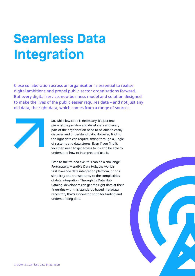# **Seamless Data Integration**

Close collaboration across an organisation is essential to realise digital ambitions and propel public sector organisations forward. But every digital service, new business model and solution designed to make the lives of the public easier requires data – and not just any old data, the right data, which comes from a range of sources.

![](_page_19_Picture_2.jpeg)

So, while low-code is necessary, it's just one piece of the puzzle – and developers and every part of the organisation need to be able to easily discover and understand data. However, finding the right data can require sifting through a jungle of systems and data stores. Even if you find it, you then need to get access to it – and be able to understand how to interpret and use it.

Even to the trained eye, this can be a challenge. Fortunately, Mendix's Data Hub, the world's first low-code data integration platform, brings simplicity and transparency to the complexities of data integration. Through its Data Hub Catalog, developers can get the right data at their fingertips with this standards-based metadata repository that's a one-stop shop for finding and understanding data.

![](_page_19_Picture_5.jpeg)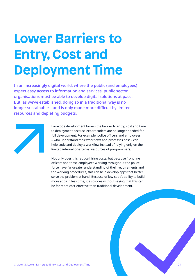# **Lower Barriers to Entry, Cost and Deployment Time**

In an increasingly digital world, where the public (and employees) expect easy access to information and services, public sector organisations must be able to develop digital solutions at pace. But, as we've established, doing so in a traditional way is no longer sustainable – and is only made more difficult by limited resources and depleting budgets.

![](_page_20_Picture_2.jpeg)

Low-code development lowers the barrier to entry, cost and time to deployment because expert coders are no longer needed for full development. For example, police officers and employees – who understand their workflows and processes best – can help code and deploy a workflow instead of relying only on the limited internal or external resources of programmers.

Not only does this reduce hiring costs, but because front line officers and those employees working throughout the police force have far greater understanding of their requirements and the working procedures, this can help develop apps that better solve the problem at hand. Because of low-code's ability to build more apps in less time, it also goes without saying that this can be far more cost-effective than traditional development.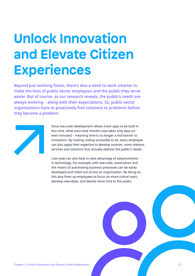# **Unlock Innovation and Elevate Citizen Experiences**

Beyond just working faster, there's also a need to work smarter to make the lives of public sector employees and the public they serve easier. But of course, as our research reveals, the public's needs are always evolving – along with their expectations. So, public sector organisations have to proactively find solutions to problems before they become a problem.

![](_page_21_Picture_2.jpeg)

Since low-code development allows more apps to be built in less time, what once took months now takes only days (or even minutes) – meaning time is no longer a real barrier to innovation. By making coding accessible to all, every employee can also apply their expertise to develop smarter, more relevant services and solutions that actually address the public's needs.

Low-code can also help to take advantage of advancements in technology. For example, with low-code, automation and the means of automating business processes can be easily developed and rolled out across an organisation. By doing so, this also frees up employees to focus on more critical tasks, develop new ideas, and devote more time to the public.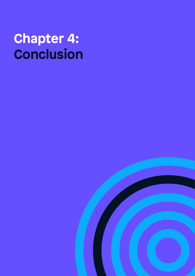## **Chapter 4: Conclusion**

![](_page_22_Picture_1.jpeg)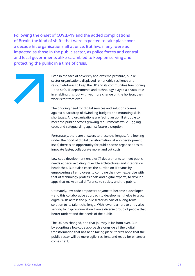Following the onset of COVID-19 and the added complications of Brexit, the kind of shifts that were expected to take place over a decade hit organisations all at once. But few, if any, were as impacted as those in the public sector, as police forces and central and local governments alike scrambled to keep on serving and protecting the public in a time of crisis.

![](_page_23_Picture_1.jpeg)

Even in the face of adversity and extreme pressure, public sector organisations displayed remarkable resilience and resourcefulness to keep the UK and its communities functioning – and safe. IT departments and technology played a pivotal role in enabling this, but with yet more change on the horizon, their work is far from over.

The ongoing need for digital services and solutions comes against a backdrop of dwindling budgets and mounting skills shortages. And organisations are facing an uphill struggle to meet the public sector's growing requirements while juggling costs and safeguarding against future disruption.

Fortunately, there are answers to these challenges. And looking under the hood of digital transformation, at app development itself, there is an opportunity for public sector organisations to innovate faster, collaborate more, and cut costs.

Low-code development enables IT departments to meet public needs at pace, avoiding inflexible architectures and integration headaches. But it also eases the burden on IT teams by empowering all employees to combine their own expertise with that of technology professionals and digital experts, to develop apps that make a real difference to society and the public.

Ultimately, low-code empowers anyone to become a developer – and this collaborative approach to development helps to grow digital skills across the public sector as part of a long-term solution to its talent challenge. With lower barriers to entry also serving to inspire innovation from a diverse group of people that better understand the needs of the public.

The UK has changed, and that journey is far from over. But by adopting a low-code approach alongside all the digital transformation that has been taking place, there's hope that the public sector will be more agile, resilient, and ready for whatever comes next.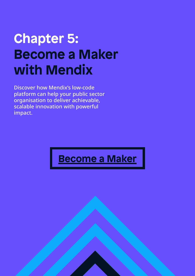# **Chapter 5: Become a Maker with Mendix**

Discover how Mendix's low-code platform can help your public sector organisation to deliver achievable, scalable innovation with powerful impact.

#### **Become a Maker**